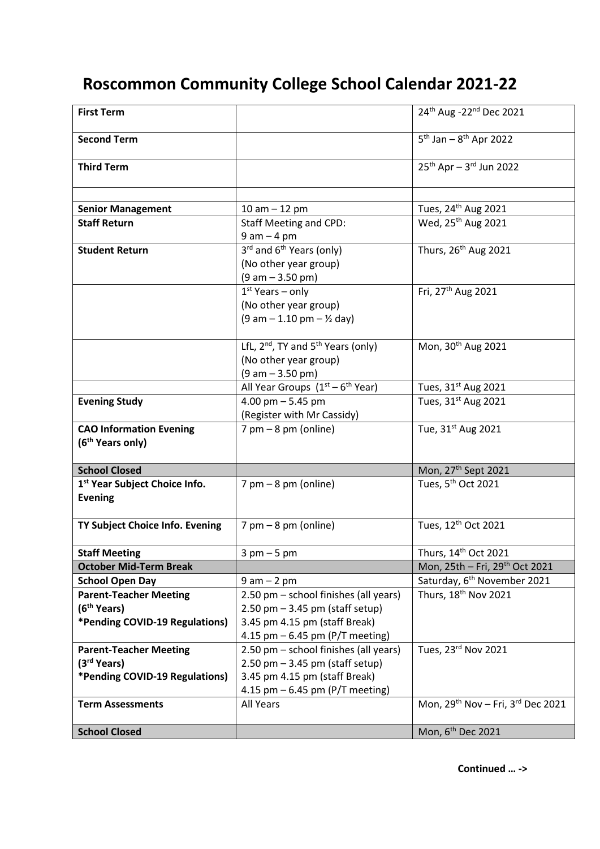## **Roscommon Community College School Calendar 2021-22**

| <b>First Term</b>                                              |                                              | 24th Aug -22 <sup>nd</sup> Dec 2021         |
|----------------------------------------------------------------|----------------------------------------------|---------------------------------------------|
| <b>Second Term</b>                                             |                                              | $5^{th}$ Jan – $8^{th}$ Apr 2022            |
| <b>Third Term</b>                                              |                                              | $25^{th}$ Apr - 3 <sup>rd</sup> Jun 2022    |
|                                                                |                                              |                                             |
| <b>Senior Management</b>                                       | 10 am $-$ 12 pm                              | Tues, 24 <sup>th</sup> Aug 2021             |
| <b>Staff Return</b>                                            | <b>Staff Meeting and CPD:</b>                | Wed, 25 <sup>th</sup> Aug 2021              |
|                                                                | $9$ am $-$ 4 pm                              |                                             |
| <b>Student Return</b>                                          | 3rd and 6 <sup>th</sup> Years (only)         | Thurs, 26 <sup>th</sup> Aug 2021            |
|                                                                | (No other year group)                        |                                             |
|                                                                | $(9 am - 3.50 pm)$                           |                                             |
|                                                                | $1st$ Years – only                           | Fri, 27 <sup>th</sup> Aug 2021              |
|                                                                | (No other year group)                        |                                             |
|                                                                | $(9 am - 1.10 pm - \frac{1}{2} day)$         |                                             |
|                                                                |                                              |                                             |
|                                                                | LfL, $2^{nd}$ , TY and $5^{th}$ Years (only) | Mon, 30 <sup>th</sup> Aug 2021              |
|                                                                | (No other year group)                        |                                             |
|                                                                | $(9 am - 3.50 pm)$                           |                                             |
|                                                                | All Year Groups $(1st - 6th$ Year)           | Tues, 31st Aug 2021                         |
| <b>Evening Study</b>                                           | 4.00 pm $-5.45$ pm                           | Tues, 31 <sup>st</sup> Aug 2021             |
|                                                                | (Register with Mr Cassidy)                   |                                             |
| <b>CAO Information Evening</b><br>(6 <sup>th</sup> Years only) | $7$ pm $-8$ pm (online)                      | Tue, 31st Aug 2021                          |
| <b>School Closed</b>                                           |                                              | Mon, 27 <sup>th</sup> Sept 2021             |
| 1 <sup>st</sup> Year Subject Choice Info.                      | $7$ pm $-8$ pm (online)                      | Tues, 5 <sup>th</sup> Oct 2021              |
| <b>Evening</b>                                                 |                                              |                                             |
| TY Subject Choice Info. Evening                                | $7$ pm $-8$ pm (online)                      | Tues, 12 <sup>th</sup> Oct 2021             |
|                                                                |                                              |                                             |
| <b>Staff Meeting</b>                                           | $3$ pm $-5$ pm                               | Thurs, 14th Oct 2021                        |
| <b>October Mid-Term Break</b>                                  |                                              | Mon, 25th - Fri, 29th Oct 2021              |
| <b>School Open Day</b>                                         | $9 am - 2 pm$                                | Saturday, 6 <sup>th</sup> November 2021     |
| <b>Parent-Teacher Meeting</b>                                  | 2.50 pm - school finishes (all years)        | Thurs, 18 <sup>th</sup> Nov 2021            |
| (6 <sup>th</sup> Years)                                        | $2.50$ pm $-3.45$ pm (staff setup)           |                                             |
| *Pending COVID-19 Regulations)                                 | 3.45 pm 4.15 pm (staff Break)                |                                             |
|                                                                | 4.15 pm $-$ 6.45 pm (P/T meeting)            |                                             |
| <b>Parent-Teacher Meeting</b>                                  | 2.50 pm - school finishes (all years)        | Tues, 23rd Nov 2021                         |
| (3 <sup>rd</sup> Years)                                        | $2.50$ pm $-3.45$ pm (staff setup)           |                                             |
| *Pending COVID-19 Regulations)                                 | 3.45 pm 4.15 pm (staff Break)                |                                             |
|                                                                | 4.15 pm $-$ 6.45 pm (P/T meeting)            |                                             |
| <b>Term Assessments</b>                                        | All Years                                    | Mon, $29^{th}$ Nov - Fri, $3^{rd}$ Dec 2021 |
|                                                                |                                              |                                             |
| <b>School Closed</b>                                           |                                              | Mon, 6 <sup>th</sup> Dec 2021               |

**Continued … ->**